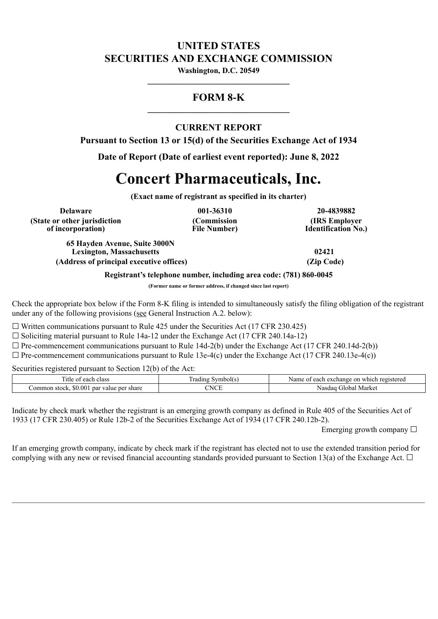# **UNITED STATES SECURITIES AND EXCHANGE COMMISSION**

**Washington, D.C. 20549 \_\_\_\_\_\_\_\_\_\_\_\_\_\_\_\_\_\_\_\_\_\_\_\_\_\_\_\_\_\_\_\_\_**

## **FORM 8-K \_\_\_\_\_\_\_\_\_\_\_\_\_\_\_\_\_\_\_\_\_\_\_\_\_\_\_\_\_\_\_\_\_**

## **CURRENT REPORT**

**Pursuant to Section 13 or 15(d) of the Securities Exchange Act of 1934**

**Date of Report (Date of earliest event reported): June 8, 2022**

# **Concert Pharmaceuticals, Inc.**

**(Exact name of registrant as specified in its charter)**

**Delaware 001-36310 20-4839882 (State or other jurisdiction of incorporation)**

**(Commission File Number)**

**(IRS Employer Identification No.)**

**65 Hayden Avenue, Suite 3000N Lexington, Massachusetts 02421 (Address of principal executive offices) (Zip Code)**

**Registrant's telephone number, including area code: (781) 860-0045**

**(Former name or former address, if changed since last report)**

Check the appropriate box below if the Form 8-K filing is intended to simultaneously satisfy the filing obligation of the registrant under any of the following provisions (see General Instruction A.2. below):

 $\Box$  Written communications pursuant to Rule 425 under the Securities Act (17 CFR 230.425)

 $\Box$  Soliciting material pursuant to Rule 14a-12 under the Exchange Act (17 CFR 240.14a-12)

 $\Box$  Pre-commencement communications pursuant to Rule 14d-2(b) under the Exchange Act (17 CFR 240.14d-2(b))

 $\Box$  Pre-commencement communications pursuant to Rule 13e-4(c) under the Exchange Act (17 CFR 240.13e-4(c))

Securities registered pursuant to Section 12(b) of the Act:

| —<br>class<br>1tle<br>eacl<br>$\sim$<br>: U                                                       | radın          | registereg<br>each<br>Nam<br>exchange<br>on<br>∟which<br>$\sim$ |
|---------------------------------------------------------------------------------------------------|----------------|-----------------------------------------------------------------|
| $\triangle$ $\triangle$<br>$\Omega$<br>ommon<br>share<br>per<br>pa<br>value<br>stock<br>.W<br>. . | CNOT<br>$\sim$ | Market<br>Nasda<br>. ilobal -                                   |

Indicate by check mark whether the registrant is an emerging growth company as defined in Rule 405 of the Securities Act of 1933 (17 CFR 230.405) or Rule 12b-2 of the Securities Exchange Act of 1934 (17 CFR 240.12b-2).

Emerging growth company  $\Box$ 

If an emerging growth company, indicate by check mark if the registrant has elected not to use the extended transition period for complying with any new or revised financial accounting standards provided pursuant to Section 13(a) of the Exchange Act.  $\Box$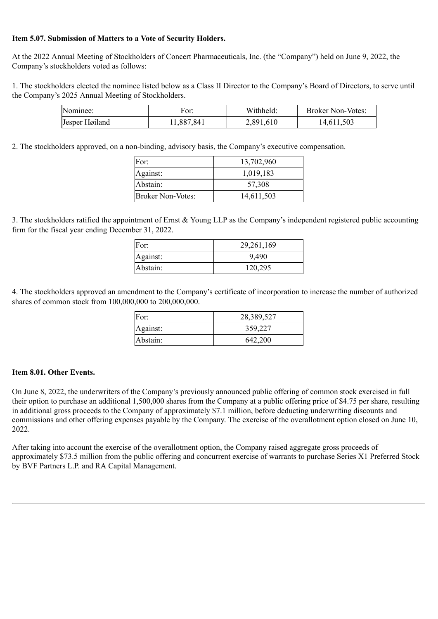### **Item 5.07. Submission of Matters to a Vote of Security Holders.**

At the 2022 Annual Meeting of Stockholders of Concert Pharmaceuticals, Inc. (the "Company") held on June 9, 2022, the Company's stockholders voted as follows:

1. The stockholders elected the nominee listed below as a Class II Director to the Company's Board of Directors, to serve until the Company's 2025 Annual Meeting of Stockholders.

| Nominee:       | For:       | Withheld: | <b>Broker Non-Votes:</b> |
|----------------|------------|-----------|--------------------------|
| Jesper Høiland | 11,887,841 | 2,891,610 | 14,611,503               |

2. The stockholders approved, on a non-binding, advisory basis, the Company's executive compensation.

| For:                     | 13,702,960 |
|--------------------------|------------|
| Against:                 | 1,019,183  |
| Abstain:                 | 57,308     |
| <b>Broker Non-Votes:</b> | 14,611,503 |

3. The stockholders ratified the appointment of Ernst & Young LLP as the Company's independent registered public accounting firm for the fiscal year ending December 31, 2022.

| For:     | 29,261,169 |
|----------|------------|
| Against: | 9,490      |
| Abstain: | 120,295    |

4. The stockholders approved an amendment to the Company's certificate of incorporation to increase the number of authorized shares of common stock from 100,000,000 to 200,000,000.

| For:     | 28,389,527 |
|----------|------------|
| Against: | 359,227    |
| Abstain: | 642,200    |

### **Item 8.01. Other Events.**

On June 8, 2022, the underwriters of the Company's previously announced public offering of common stock exercised in full their option to purchase an additional 1,500,000 shares from the Company at a public offering price of \$4.75 per share, resulting in additional gross proceeds to the Company of approximately \$7.1 million, before deducting underwriting discounts and commissions and other offering expenses payable by the Company. The exercise of the overallotment option closed on June 10, 2022.

After taking into account the exercise of the overallotment option, the Company raised aggregate gross proceeds of approximately \$73.5 million from the public offering and concurrent exercise of warrants to purchase Series X1 Preferred Stock by BVF Partners L.P. and RA Capital Management.